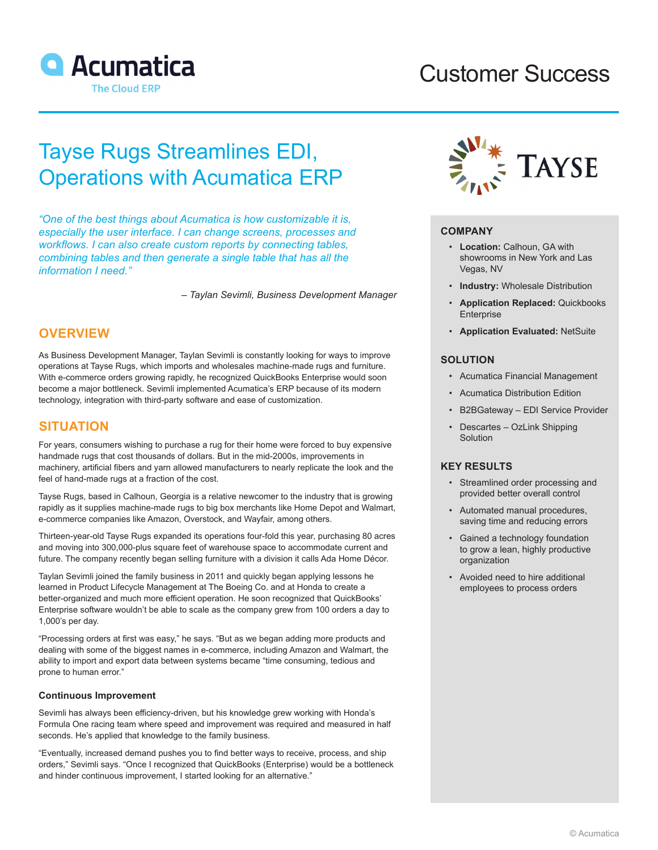

# Customer Success

# Tayse Rugs Streamlines EDI, Operations with Acumatica ERP

*"One of the best things about Acumatica is how customizable it is, especially the user interface. I can change screens, processes and workflows. I can also create custom reports by connecting tables, combining tables and then generate a single table that has all the information I need."*

*– Taylan Sevimli, Business Development Manager*

### **OVERVIEW**

As Business Development Manager, Taylan Sevimli is constantly looking for ways to improve operations at Tayse Rugs, which imports and wholesales machine-made rugs and furniture. With e-commerce orders growing rapidly, he recognized QuickBooks Enterprise would soon become a major bottleneck. Sevimli implemented Acumatica's ERP because of its modern technology, integration with third-party software and ease of customization.

### **SITUATION**

For years, consumers wishing to purchase a rug for their home were forced to buy expensive handmade rugs that cost thousands of dollars. But in the mid-2000s, improvements in machinery, artificial fibers and yarn allowed manufacturers to nearly replicate the look and the feel of hand-made rugs at a fraction of the cost.

Tayse Rugs, based in Calhoun, Georgia is a relative newcomer to the industry that is growing rapidly as it supplies machine-made rugs to big box merchants like Home Depot and Walmart, e-commerce companies like Amazon, Overstock, and Wayfair, among others.

Thirteen-year-old Tayse Rugs expanded its operations four-fold this year, purchasing 80 acres and moving into 300,000-plus square feet of warehouse space to accommodate current and future. The company recently began selling furniture with a division it calls Ada Home Décor.

Taylan Sevimli joined the family business in 2011 and quickly began applying lessons he learned in Product Lifecycle Management at The Boeing Co. and at Honda to create a better-organized and much more efficient operation. He soon recognized that QuickBooks' Enterprise software wouldn't be able to scale as the company grew from 100 orders a day to 1,000's per day.

"Processing orders at first was easy," he says. "But as we began adding more products and dealing with some of the biggest names in e-commerce, including Amazon and Walmart, the ability to import and export data between systems became "time consuming, tedious and prone to human error."

#### **Continuous Improvement**

Sevimli has always been efficiency-driven, but his knowledge grew working with Honda's Formula One racing team where speed and improvement was required and measured in half seconds. He's applied that knowledge to the family business.

"Eventually, increased demand pushes you to find better ways to receive, process, and ship orders," Sevimli says. "Once I recognized that QuickBooks (Enterprise) would be a bottleneck and hinder continuous improvement, I started looking for an alternative."



#### **COMPANY**

- **Location:** Calhoun, GA with showrooms in New York and Las Vegas, NV
- **Industry:** Wholesale Distribution
- **Application Replaced:** Quickbooks Enterprise
- **Application Evaluated:** NetSuite

#### **SOLUTION**

- Acumatica Financial Management
- Acumatica Distribution Edition
- B2BGateway EDI Service Provider
- Descartes OzLink Shipping Solution

#### **KEY RESULTS**

- Streamlined order processing and provided better overall control
- Automated manual procedures, saving time and reducing errors
- Gained a technology foundation to grow a lean, highly productive organization
- Avoided need to hire additional employees to process orders